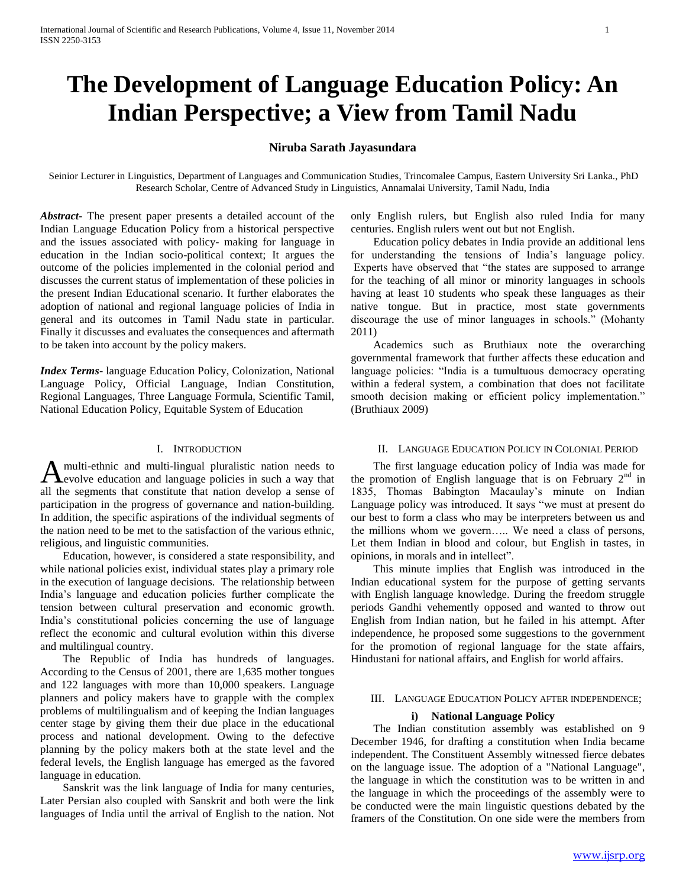# **The Development of Language Education Policy: An Indian Perspective; a View from Tamil Nadu**

# **Niruba Sarath Jayasundara**

Seinior Lecturer in Linguistics, Department of Languages and Communication Studies, Trincomalee Campus, Eastern University Sri Lanka., PhD Research Scholar, Centre of Advanced Study in Linguistics, Annamalai University, Tamil Nadu, India

*Abstract***-** The present paper presents a detailed account of the Indian Language Education Policy from a historical perspective and the issues associated with policy- making for language in education in the Indian socio-political context; It argues the outcome of the policies implemented in the colonial period and discusses the current status of implementation of these policies in the present Indian Educational scenario. It further elaborates the adoption of national and regional language policies of India in general and its outcomes in Tamil Nadu state in particular. Finally it discusses and evaluates the consequences and aftermath to be taken into account by the policy makers.

*Index Terms*- language Education Policy, Colonization, National Language Policy, Official Language, Indian Constitution, Regional Languages, Three Language Formula, Scientific Tamil, National Education Policy, Equitable System of Education

## I. INTRODUCTION

multi-ethnic and multi-lingual pluralistic nation needs to evolve education and language policies in such a way that A multi-ethnic and multi-lingual pluralistic nation needs to evelope education and language policies in such a way that all the segments that constitute that nation develop a sense of participation in the progress of governance and nation-building. In addition, the specific aspirations of the individual segments of the nation need to be met to the satisfaction of the various ethnic, religious, and linguistic communities.

 Education, however, is considered a state responsibility, and while national policies exist, individual states play a primary role in the execution of language decisions. The relationship between India"s language and education policies further complicate the tension between cultural preservation and economic growth. India"s constitutional policies concerning the use of language reflect the economic and cultural evolution within this diverse and multilingual country.

 The Republic of India has hundreds of languages. According to the Census of 2001, there are 1,635 mother tongues and 122 languages with more than 10,000 speakers. Language planners and policy makers have to grapple with the complex problems of multilingualism and of keeping the Indian languages center stage by giving them their due place in the educational process and national development. Owing to the defective planning by the policy makers both at the state level and the federal levels, the English language has emerged as the favored language in education.

 Sanskrit was the link language of India for many centuries, Later Persian also coupled with Sanskrit and both were the link languages of India until the arrival of English to the nation. Not only English rulers, but English also ruled India for many centuries. English rulers went out but not English.

 Education policy debates in India provide an additional lens for understanding the tensions of India"s language policy. Experts have observed that "the states are supposed to arrange for the teaching of all minor or minority languages in schools having at least 10 students who speak these languages as their native tongue. But in practice, most state governments discourage the use of minor languages in schools." (Mohanty 2011)

 Academics such as Bruthiaux note the overarching governmental framework that further affects these education and language policies: "India is a tumultuous democracy operating within a federal system, a combination that does not facilitate smooth decision making or efficient policy implementation." (Bruthiaux 2009)

## II. LANGUAGE EDUCATION POLICY IN COLONIAL PERIOD

 The first language education policy of India was made for the promotion of English language that is on February  $2<sup>nd</sup>$  in 1835, Thomas Babington Macaulay's minute on Indian Language policy was introduced. It says "we must at present do our best to form a class who may be interpreters between us and the millions whom we govern….. We need a class of persons, Let them Indian in blood and colour, but English in tastes, in opinions, in morals and in intellect".

 This minute implies that English was introduced in the Indian educational system for the purpose of getting servants with English language knowledge. During the freedom struggle periods Gandhi vehemently opposed and wanted to throw out English from Indian nation, but he failed in his attempt. After independence, he proposed some suggestions to the government for the promotion of regional language for the state affairs, Hindustani for national affairs, and English for world affairs.

## III. LANGUAGE EDUCATION POLICY AFTER INDEPENDENCE;

## **i) National Language Policy**

 The Indian constitution assembly was established on 9 December 1946, for drafting a constitution when India became independent. The Constituent Assembly witnessed fierce debates on the language issue. The adoption of a "National Language", the language in which the constitution was to be written in and the language in which the proceedings of the assembly were to be conducted were the main linguistic questions debated by the framers of the Constitution. On one side were the members from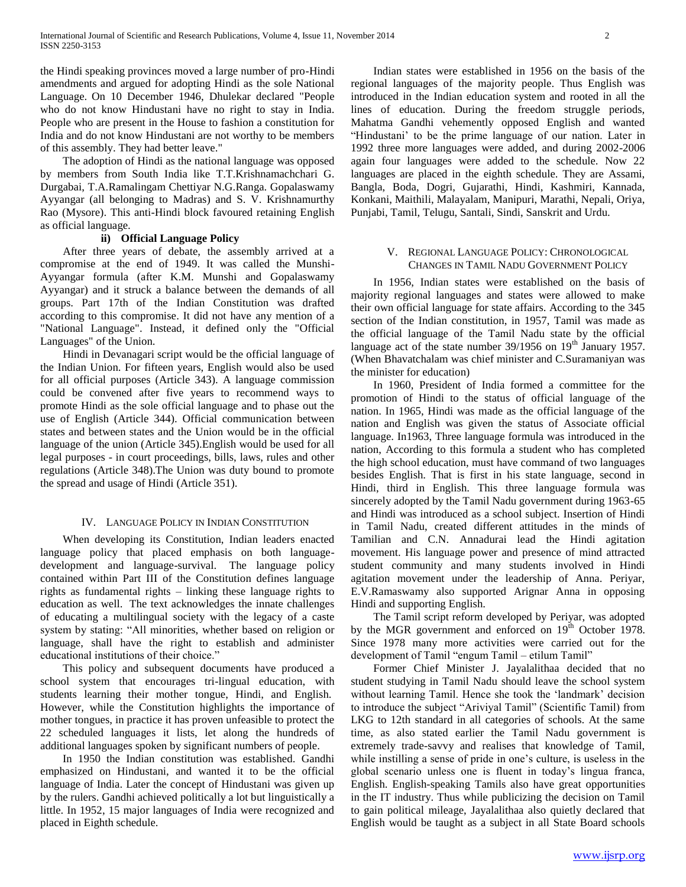the Hindi speaking provinces moved a large number of pro-Hindi amendments and argued for adopting Hindi as the sole National Language. On 10 December 1946, Dhulekar declared "People who do not know Hindustani have no right to stay in India. People who are present in the House to fashion a constitution for India and do not know Hindustani are not worthy to be members of this assembly. They had better leave."

 The adoption of Hindi as the national language was opposed by members from South India like T.T.Krishnamachchari G. Durgabai, T.A.Ramalingam Chettiyar N.G.Ranga. Gopalaswamy Ayyangar (all belonging to Madras) and S. V. Krishnamurthy Rao (Mysore). This anti-Hindi block favoured retaining English as official language.

## **ii) Official Language Policy**

 After three years of debate, the assembly arrived at a compromise at the end of 1949. It was called the Munshi-Ayyangar formula (after K.M. Munshi and Gopalaswamy Ayyangar) and it struck a balance between the demands of all groups. Part 17th of the Indian Constitution was drafted according to this compromise. It did not have any mention of a "National Language". Instead, it defined only the "Official Languages" of the Union.

 Hindi in Devanagari script would be the official language of the Indian Union. For fifteen years, English would also be used for all official purposes (Article 343). A language commission could be convened after five years to recommend ways to promote Hindi as the sole official language and to phase out the use of English (Article 344). Official communication between states and between states and the Union would be in the official language of the union (Article 345).English would be used for all legal purposes - in court proceedings, bills, laws, rules and other regulations (Article 348).The Union was duty bound to promote the spread and usage of Hindi (Article 351).

## IV. LANGUAGE POLICY IN INDIAN CONSTITUTION

 When developing its Constitution, Indian leaders enacted language policy that placed emphasis on both languagedevelopment and language-survival. The language policy contained within Part III of the Constitution defines language rights as fundamental rights – linking these language rights to education as well. The text acknowledges the innate challenges of educating a multilingual society with the legacy of a caste system by stating: "All minorities, whether based on religion or language, shall have the right to establish and administer educational institutions of their choice."

 This policy and subsequent documents have produced a school system that encourages tri-lingual education, with students learning their mother tongue, Hindi, and English. However, while the Constitution highlights the importance of mother tongues, in practice it has proven unfeasible to protect the 22 scheduled languages it lists, let along the hundreds of additional languages spoken by significant numbers of people.

 In 1950 the Indian constitution was established. Gandhi emphasized on Hindustani, and wanted it to be the official language of India. Later the concept of Hindustani was given up by the rulers. Gandhi achieved politically a lot but linguistically a little. In 1952, 15 major languages of India were recognized and placed in Eighth schedule.

 Indian states were established in 1956 on the basis of the regional languages of the majority people. Thus English was introduced in the Indian education system and rooted in all the lines of education. During the freedom struggle periods, Mahatma Gandhi vehemently opposed English and wanted "Hindustani" to be the prime language of our nation. Later in 1992 three more languages were added, and during 2002-2006 again four languages were added to the schedule. Now 22 languages are placed in the eighth schedule. They are Assami, Bangla, Boda, Dogri, Gujarathi, Hindi, Kashmiri, Kannada, Konkani, Maithili, Malayalam, Manipuri, Marathi, Nepali, Oriya, Punjabi, Tamil, Telugu, Santali, Sindi, Sanskrit and Urdu.

## V. REGIONAL LANGUAGE POLICY: CHRONOLOGICAL CHANGES IN TAMIL NADU GOVERNMENT POLICY

 In 1956, Indian states were established on the basis of majority regional languages and states were allowed to make their own official language for state affairs. According to the 345 section of the Indian constitution, in 1957, Tamil was made as the official language of the Tamil Nadu state by the official language act of the state number  $39/1956$  on  $19<sup>th</sup>$  January 1957. (When Bhavatchalam was chief minister and C.Suramaniyan was the minister for education)

 In 1960, President of India formed a committee for the promotion of Hindi to the status of official language of the nation. In 1965, Hindi was made as the official language of the nation and English was given the status of Associate official language. In1963, Three language formula was introduced in the nation, According to this formula a student who has completed the high school education, must have command of two languages besides English. That is first in his state language, second in Hindi, third in English. This three language formula was sincerely adopted by the Tamil Nadu government during 1963-65 and Hindi was introduced as a school subject. Insertion of Hindi in Tamil Nadu, created different attitudes in the minds of Tamilian and C.N. Annadurai lead the Hindi agitation movement. His language power and presence of mind attracted student community and many students involved in Hindi agitation movement under the leadership of Anna. Periyar, E.V.Ramaswamy also supported Arignar Anna in opposing Hindi and supporting English.

 The Tamil script reform developed by Periyar, was adopted by the MGR government and enforced on  $19<sup>th</sup>$  October 1978. Since 1978 many more activities were carried out for the development of Tamil "engum Tamil – etilum Tamil"

 Former Chief Minister J. Jayalalithaa decided that no student studying in Tamil Nadu should leave the school system without learning Tamil. Hence she took the "landmark" decision to introduce the subject "Ariviyal Tamil" (Scientific Tamil) from LKG to 12th standard in all categories of schools. At the same time, as also stated earlier the Tamil Nadu government is extremely trade-savvy and realises that knowledge of Tamil, while instilling a sense of pride in one's culture, is useless in the global scenario unless one is fluent in today"s lingua franca, English. English-speaking Tamils also have great opportunities in the IT industry. Thus while publicizing the decision on Tamil to gain political mileage, Jayalalithaa also quietly declared that English would be taught as a subject in all State Board schools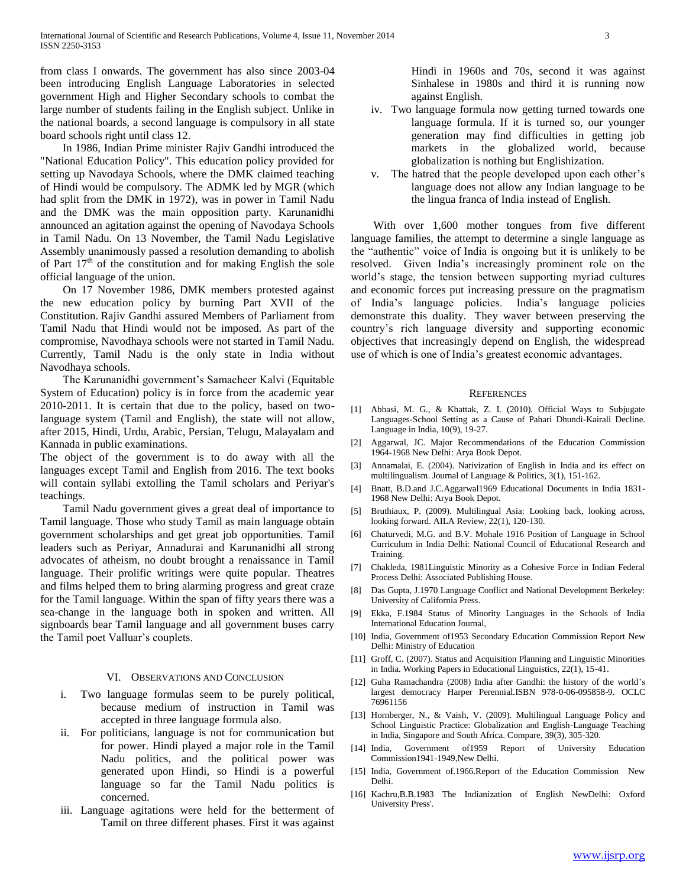from class I onwards. The government has also since 2003-04 been introducing English Language Laboratories in selected government High and Higher Secondary schools to combat the large number of students failing in the English subject. Unlike in the national boards, a second language is compulsory in all state board schools right until class 12.

 In 1986, Indian Prime minister Rajiv Gandhi introduced the "National Education Policy". This education policy provided for setting up Navodaya Schools, where the DMK claimed teaching of Hindi would be compulsory. The ADMK led by MGR (which had split from the DMK in 1972), was in power in Tamil Nadu and the DMK was the main opposition party. Karunanidhi announced an agitation against the opening of Navodaya Schools in Tamil Nadu. On 13 November, the Tamil Nadu Legislative Assembly unanimously passed a resolution demanding to abolish of Part  $17<sup>th</sup>$  of the constitution and for making English the sole official language of the union.

 On 17 November 1986, DMK members protested against the new education policy by burning Part XVII of the Constitution. Rajiv Gandhi assured Members of Parliament from Tamil Nadu that Hindi would not be imposed. As part of the compromise, Navodhaya schools were not started in Tamil Nadu. Currently, Tamil Nadu is the only state in India without Navodhaya schools.

The Karunanidhi government's Samacheer Kalvi (Equitable System of Education) policy is in force from the academic year 2010-2011. It is certain that due to the policy, based on twolanguage system (Tamil and English), the state will not allow, after 2015, Hindi, Urdu, Arabic, Persian, Telugu, Malayalam and Kannada in public examinations.

The object of the government is to do away with all the languages except Tamil and English from 2016. The text books will contain syllabi extolling the Tamil scholars and Periyar's teachings.

 Tamil Nadu government gives a great deal of importance to Tamil language. Those who study Tamil as main language obtain government scholarships and get great job opportunities. Tamil leaders such as Periyar, Annadurai and Karunanidhi all strong advocates of atheism, no doubt brought a renaissance in Tamil language. Their prolific writings were quite popular. Theatres and films helped them to bring alarming progress and great craze for the Tamil language. Within the span of fifty years there was a sea-change in the language both in spoken and written. All signboards bear Tamil language and all government buses carry the Tamil poet Valluar"s couplets.

## VI. OBSERVATIONS AND CONCLUSION

- i. Two language formulas seem to be purely political, because medium of instruction in Tamil was accepted in three language formula also.
- ii. For politicians, language is not for communication but for power. Hindi played a major role in the Tamil Nadu politics, and the political power was generated upon Hindi, so Hindi is a powerful language so far the Tamil Nadu politics is concerned.
- iii. Language agitations were held for the betterment of Tamil on three different phases. First it was against

Hindi in 1960s and 70s, second it was against Sinhalese in 1980s and third it is running now against English.

- iv. Two language formula now getting turned towards one language formula. If it is turned so, our younger generation may find difficulties in getting job markets in the globalized world, because globalization is nothing but Englishization.
- v. The hatred that the people developed upon each other"s language does not allow any Indian language to be the lingua franca of India instead of English.

With over 1,600 mother tongues from five different language families, the attempt to determine a single language as the "authentic" voice of India is ongoing but it is unlikely to be resolved. Given India"s increasingly prominent role on the world"s stage, the tension between supporting myriad cultures and economic forces put increasing pressure on the pragmatism of India"s language policies. India"s language policies demonstrate this duality. They waver between preserving the country"s rich language diversity and supporting economic objectives that increasingly depend on English, the widespread use of which is one of India"s greatest economic advantages.

#### **REFERENCES**

- [1] Abbasi, M. G., & Khattak, Z. I. (2010). Official Ways to Subjugate Languages-School Setting as a Cause of Pahari Dhundi-Kairali Decline. Language in India, 10(9), 19-27.
- [2] Aggarwal, JC. Major Recommendations of the Education Commission 1964-1968 New Delhi: Arya Book Depot.
- [3] Annamalai, E. (2004). Nativization of English in India and its effect on multilingualism. Journal of Language & Politics, 3(1), 151-162.
- [4] Bnatt, B.D.and J.C.Aggarwal1969 Educational Documents in India 1831- 1968 New Delhi: Arya Book Depot.
- [5] Bruthiaux, P. (2009). Multilingual Asia: Looking back, looking across, looking forward. AILA Review, 22(1), 120-130.
- [6] Chaturvedi, M.G. and B.V. Mohale 1916 Position of Language in School Curriculum in India Delhi: National Council of Educational Research and Training.
- [7] Chakleda, 1981Linguistic Minority as a Cohesive Force in Indian Federal Process Delhi: Associated Publishing House.
- [8] Das Gupta, J.1970 Language Conflict and National Development Berkeley: University of California Press.
- [9] Ekka, F.1984 Status of Minority Languages in the Schools of India International Education Journal,
- [10] India, Government of 1953 Secondary Education Commission Report New Delhi: Ministry of Education
- [11] Groff, C. (2007). Status and Acquisition Planning and Linguistic Minorities in India. Working Papers in Educational Linguistics, 22(1), 15-41.
- [12] Guha Ramachandra (2008) India after Gandhi: the history of the world"s largest democracy Harper Perennial.ISBN 978-0-06-095858-9. OCLC 76961156
- [13] Hornberger, N., & Vaish, V. (2009). Multilingual Language Policy and School Linguistic Practice: Globalization and English-Language Teaching in India, Singapore and South Africa. Compare, 39(3), 305-320.
- [14] India, Government of1959 Report of University Education Commission1941-1949,New Delhi.
- [15] India, Government of.1966.Report of the Education Commission New Delhi.
- [16] Kachru,B.B.1983 The Indianization of English NewDelhi: Oxford University Press'.